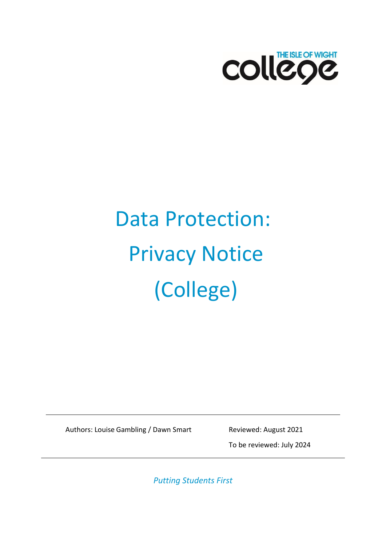

# Data Protection: Privacy Notice (College)

Authors: Louise Gambling / Dawn Smart Reviewed: August 2021

To be reviewed: July 2024

*Putting Students First*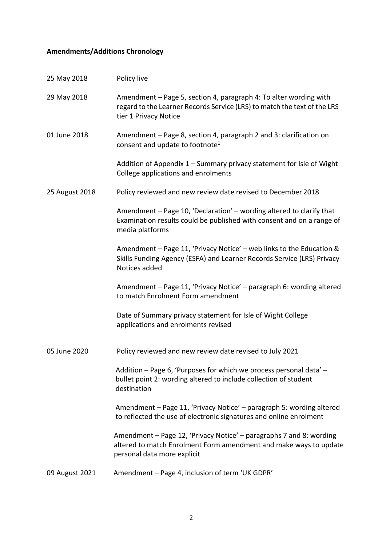## <span id="page-1-0"></span>**Amendments/Additions Chronology**

| 25 May 2018    | Policy live                                                                                                                                                             |
|----------------|-------------------------------------------------------------------------------------------------------------------------------------------------------------------------|
| 29 May 2018    | Amendment - Page 5, section 4, paragraph 4: To alter wording with<br>regard to the Learner Records Service (LRS) to match the text of the LRS<br>tier 1 Privacy Notice  |
| 01 June 2018   | Amendment - Page 8, section 4, paragraph 2 and 3: clarification on<br>consent and update to footnote <sup>1</sup>                                                       |
|                | Addition of Appendix 1 - Summary privacy statement for Isle of Wight<br>College applications and enrolments                                                             |
| 25 August 2018 | Policy reviewed and new review date revised to December 2018                                                                                                            |
|                | Amendment - Page 10, 'Declaration' - wording altered to clarify that<br>Examination results could be published with consent and on a range of<br>media platforms        |
|                | Amendment - Page 11, 'Privacy Notice' - web links to the Education &<br>Skills Funding Agency (ESFA) and Learner Records Service (LRS) Privacy<br>Notices added         |
|                | Amendment - Page 11, 'Privacy Notice' - paragraph 6: wording altered<br>to match Enrolment Form amendment                                                               |
|                | Date of Summary privacy statement for Isle of Wight College<br>applications and enrolments revised                                                                      |
| 05 June 2020   | Policy reviewed and new review date revised to July 2021                                                                                                                |
|                | Addition - Page 6, 'Purposes for which we process personal data' -<br>bullet point 2: wording altered to include collection of student<br>destination                   |
|                | Amendment - Page 11, 'Privacy Notice' - paragraph 5: wording altered<br>to reflected the use of electronic signatures and online enrolment                              |
|                | Amendment – Page 12, 'Privacy Notice' – paragraphs 7 and 8: wording<br>altered to match Enrolment Form amendment and make ways to update<br>personal data more explicit |
| 09 August 2021 | Amendment - Page 4, inclusion of term 'UK GDPR'                                                                                                                         |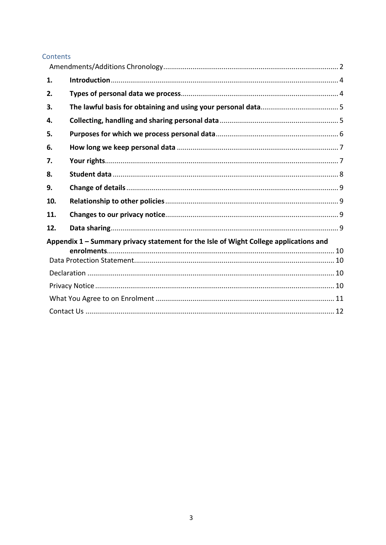#### Contents

| 1.  |                                                                                       |  |
|-----|---------------------------------------------------------------------------------------|--|
| 2.  |                                                                                       |  |
| 3.  |                                                                                       |  |
| 4.  |                                                                                       |  |
| 5.  |                                                                                       |  |
| 6.  |                                                                                       |  |
| 7.  |                                                                                       |  |
| 8.  |                                                                                       |  |
| 9.  |                                                                                       |  |
| 10. |                                                                                       |  |
| 11. |                                                                                       |  |
| 12. |                                                                                       |  |
|     | Appendix 1 - Summary privacy statement for the Isle of Wight College applications and |  |
|     |                                                                                       |  |
|     |                                                                                       |  |
|     |                                                                                       |  |
|     |                                                                                       |  |
|     |                                                                                       |  |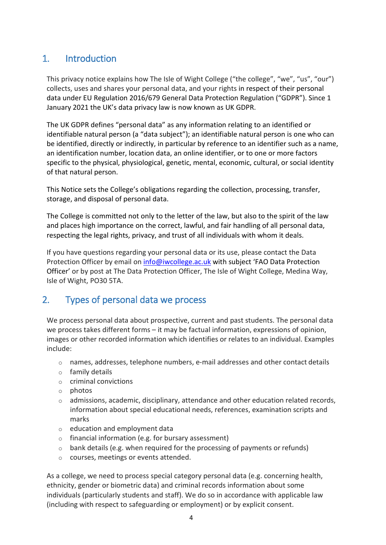# <span id="page-3-0"></span>1. Introduction

This privacy notice explains how The Isle of Wight College ("the college", "we", "us", "our") collects, uses and shares your personal data, and your rights in respect of their personal data under EU Regulation 2016/679 General Data Protection Regulation ("GDPR"). Since 1 January 2021 the UK's data privacy law is now known as UK GDPR.

The UK GDPR defines "personal data" as any information relating to an identified or identifiable natural person (a "data subject"); an identifiable natural person is one who can be identified, directly or indirectly, in particular by reference to an identifier such as a name, an identification number, location data, an online identifier, or to one or more factors specific to the physical, physiological, genetic, mental, economic, cultural, or social identity of that natural person.

This Notice sets the College's obligations regarding the collection, processing, transfer, storage, and disposal of personal data.

The College is committed not only to the letter of the law, but also to the spirit of the law and places high importance on the correct, lawful, and fair handling of all personal data, respecting the legal rights, privacy, and trust of all individuals with whom it deals.

If you have questions regarding your personal data or its use, please contact the Data Protection Officer by email on [info@iwcollege.ac.uk](mailto:info@iwcollege.ac.uk) with subject 'FAO Data Protection Officer' or by post at The Data Protection Officer, The Isle of Wight College, Medina Way, Isle of Wight, PO30 5TA.

# <span id="page-3-1"></span>2. Types of personal data we process

We process personal data about prospective, current and past students. The personal data we process takes different forms – it may be factual information, expressions of opinion, images or other recorded information which identifies or relates to an individual. Examples include:

- $\circ$  names, addresses, telephone numbers, e-mail addresses and other contact details
- o family details
- o criminal convictions
- o photos
- $\circ$  admissions, academic, disciplinary, attendance and other education related records, information about special educational needs, references, examination scripts and marks
- $\circ$  education and employment data
- o financial information (e.g. for bursary assessment)
- $\circ$  bank details (e.g. when required for the processing of payments or refunds)
- o courses, meetings or events attended.

As a college, we need to process special category personal data (e.g. concerning health, ethnicity, gender or biometric data) and criminal records information about some individuals (particularly students and staff). We do so in accordance with applicable law (including with respect to safeguarding or employment) or by explicit consent.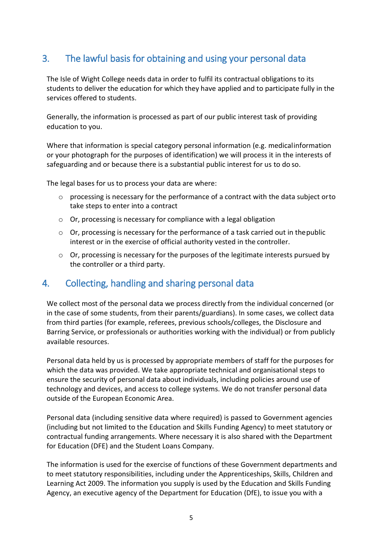# <span id="page-4-0"></span>3. The lawful basis for obtaining and using your personal data

The Isle of Wight College needs data in order to fulfil its contractual obligations to its students to deliver the education for which they have applied and to participate fully in the services offered to students.

Generally, the information is processed as part of our public interest task of providing education to you.

Where that information is special category personal information (e.g. medicalinformation or your photograph for the purposes of identification) we will process it in the interests of safeguarding and or because there is a substantial public interest for us to do so.

The legal bases for us to process your data are where:

- o processing is necessary for the performance of a contract with the data subject orto take steps to enter into a contract
- o Or, processing is necessary for compliance with a legal obligation
- $\circ$  Or, processing is necessary for the performance of a task carried out in the public interest or in the exercise of official authority vested in the controller.
- $\circ$  Or, processing is necessary for the purposes of the legitimate interests pursued by the controller or a third party.

## <span id="page-4-1"></span>4. Collecting, handling and sharing personal data

We collect most of the personal data we process directly from the individual concerned (or in the case of some students, from their parents/guardians). In some cases, we collect data from third parties (for example, referees, previous schools/colleges, the Disclosure and Barring Service, or professionals or authorities working with the individual) or from publicly available resources.

Personal data held by us is processed by appropriate members of staff for the purposes for which the data was provided. We take appropriate technical and organisational steps to ensure the security of personal data about individuals, including policies around use of technology and devices, and access to college systems. We do not transfer personal data outside of the European Economic Area.

Personal data (including sensitive data where required) is passed to Government agencies (including but not limited to the Education and Skills Funding Agency) to meet statutory or contractual funding arrangements. Where necessary it is also shared with the Department for Education (DFE) and the Student Loans Company.

The information is used for the exercise of functions of these Government departments and to meet statutory responsibilities, including under the Apprenticeships, Skills, Children and Learning Act 2009. The information you supply is used by the Education and Skills Funding Agency, an executive agency of the Department for Education (DfE), to issue you with a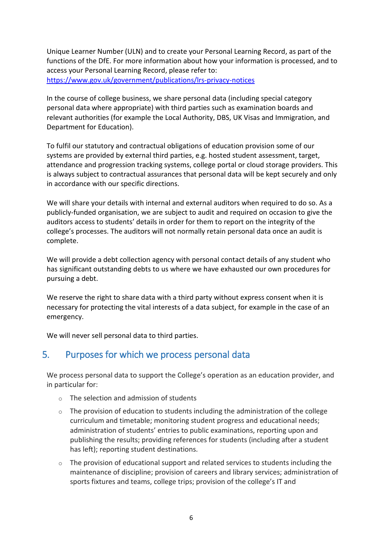Unique Learner Number (ULN) and to create your Personal Learning Record, as part of the functions of the DfE. For more information about how your information is processed, and to access your Personal Learning Record, please refer to: <https://www.gov.uk/government/publications/lrs-privacy-notices>

In the course of college business, we share personal data (including special category personal data where appropriate) with third parties such as examination boards and relevant authorities (for example the Local Authority, DBS, UK Visas and Immigration, and Department for Education).

To fulfil our statutory and contractual obligations of education provision some of our systems are provided by external third parties, e.g. hosted student assessment, target, attendance and progression tracking systems, college portal or cloud storage providers. This is always subject to contractual assurances that personal data will be kept securely and only in accordance with our specific directions.

We will share your details with internal and external auditors when required to do so. As a publicly-funded organisation, we are subject to audit and required on occasion to give the auditors access to students' details in order for them to report on the integrity of the college's processes. The auditors will not normally retain personal data once an audit is complete.

We will provide a debt collection agency with personal contact details of any student who has significant outstanding debts to us where we have exhausted our own procedures for pursuing a debt.

We reserve the right to share data with a third party without express consent when it is necessary for protecting the vital interests of a data subject, for example in the case of an emergency.

We will never sell personal data to third parties.

## <span id="page-5-0"></span>5. Purposes for which we process personal data

We process personal data to support the College's operation as an education provider, and in particular for:

- o The selection and admission of students
- $\circ$  The provision of education to students including the administration of the college curriculum and timetable; monitoring student progress and educational needs; administration of students' entries to public examinations, reporting upon and publishing the results; providing references for students (including after a student has left); reporting student destinations.
- $\circ$  The provision of educational support and related services to students including the maintenance of discipline; provision of careers and library services; administration of sports fixtures and teams, college trips; provision of the college's IT and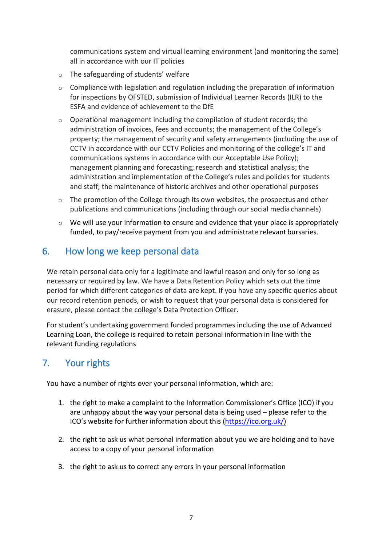communications system and virtual learning environment (and monitoring the same) all in accordance with our IT policies

- o The safeguarding of students' welfare
- o Compliance with legislation and regulation including the preparation of information for inspections by OFSTED, submission of Individual Learner Records (ILR) to the ESFA and evidence of achievement to the DfE
- o Operational management including the compilation of student records; the administration of invoices, fees and accounts; the management of the College's property; the management of security and safety arrangements (including the use of CCTV in accordance with our CCTV Policies and monitoring of the college's IT and communications systems in accordance with our Acceptable Use Policy); management planning and forecasting; research and statistical analysis; the administration and implementation of the College's rules and policies for students and staff; the maintenance of historic archives and other operational purposes
- $\circ$  The promotion of the College through its own websites, the prospectus and other publications and communications (including through our social media channels)
- $\circ$  We will use your information to ensure and evidence that your place is appropriately funded, to pay/receive payment from you and administrate relevant bursaries.

## <span id="page-6-0"></span>6. How long we keep personal data

We retain personal data only for a legitimate and lawful reason and only for so long as necessary or required by law. We have a Data Retention Policy which sets out the time period for which different categories of data are kept. If you have any specific queries about our record retention periods, or wish to request that your personal data is considered for erasure, please contact the college's Data Protection Officer.

For student's undertaking government funded programmes including the use of Advanced Learning Loan, the college is required to retain personal information in line with the relevant funding regulations

# <span id="page-6-1"></span>7. Your rights

You have a number of rights over your personal information, which are:

- 1. the right to make a complaint to the Information Commissioner's Office (ICO) if you are unhappy about the way your personal data is being used – please refer to the ICO's website for further information about this [\(https://ico.org.uk/\)](https://ico.org.uk/)
- 2. the right to ask us what personal information about you we are holding and to have access to a copy of your personal information
- 3. the right to ask us to correct any errors in your personal information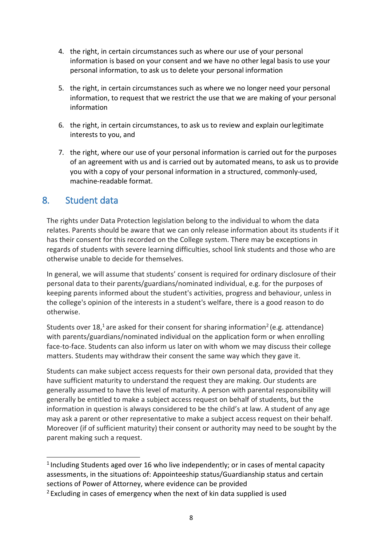- 4. the right, in certain circumstances such as where our use of your personal information is based on your consent and we have no other legal basis to use your personal information, to ask us to delete your personal information
- 5. the right, in certain circumstances such as where we no longer need your personal information, to request that we restrict the use that we are making of your personal information
- 6. the right, in certain circumstances, to ask us to review and explain ourlegitimate interests to you, and
- 7. the right, where our use of your personal information is carried out for the purposes of an agreement with us and is carried out by automated means, to ask us to provide you with a copy of your personal information in a structured, commonly-used, machine-readable format.

## <span id="page-7-0"></span>8. Student data

The rights under Data Protection legislation belong to the individual to whom the data relates. Parents should be aware that we can only release information about its students if it has their consent for this recorded on the College system. There may be exceptions in regards of students with severe learning difficulties, school link students and those who are otherwise unable to decide for themselves.

In general, we will assume that students' consent is required for ordinary disclosure of their personal data to their parents/guardians/nominated individual, e.g. for the purposes of keeping parents informed about the student's activities, progress and behaviour, unless in the college's opinion of the interests in a student's welfare, there is a good reason to do otherwise.

Students over  $18<sup>1</sup>$  are asked for their consent for sharing information<sup>2</sup> (e.g. attendance) with parents/guardians/nominated individual on the application form or when enrolling face-to-face. Students can also inform us later on with whom we may discuss their college matters. Students may withdraw their consent the same way which they gave it.

Students can make subject access requests for their own personal data, provided that they have sufficient maturity to understand the request they are making. Our students are generally assumed to have this level of maturity. A person with parental responsibility will generally be entitled to make a subject access request on behalf of students, but the information in question is always considered to be the child's at law. A student of any age may ask a parent or other representative to make a subject access request on their behalf. Moreover (if of sufficient maturity) their consent or authority may need to be sought by the parent making such a request.

 $1$  Including Students aged over 16 who live independently; or in cases of mental capacity assessments, in the situations of: Appointeeship status/Guardianship status and certain sections of Power of Attorney, where evidence can be provided

 $2$  Excluding in cases of emergency when the next of kin data supplied is used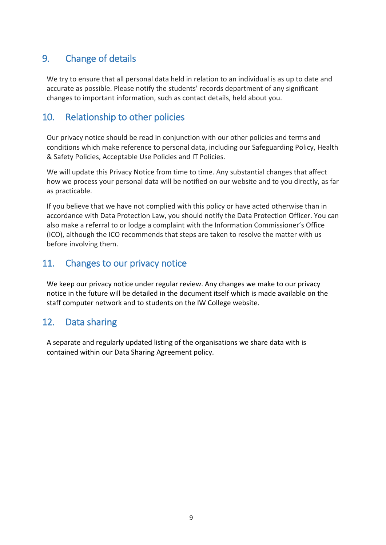# <span id="page-8-0"></span>9. Change of details

We try to ensure that all personal data held in relation to an individual is as up to date and accurate as possible. Please notify the students' records department of any significant changes to important information, such as contact details, held about you.

# <span id="page-8-1"></span>10. Relationship to other policies

Our privacy notice should be read in conjunction with our other policies and terms and conditions which make reference to personal data, including our Safeguarding Policy, Health & Safety Policies, Acceptable Use Policies and IT Policies.

We will update this Privacy Notice from time to time. Any substantial changes that affect how we process your personal data will be notified on our website and to you directly, as far as practicable.

If you believe that we have not complied with this policy or have acted otherwise than in accordance with Data Protection Law, you should notify the Data Protection Officer. You can also make a referral to or lodge a complaint with the Information Commissioner's Office (ICO), although the ICO recommends that steps are taken to resolve the matter with us before involving them.

## <span id="page-8-2"></span>11. Changes to our privacy notice

We keep our privacy notice under regular review. Any changes we make to our privacy notice in the future will be detailed in the document itself which is made available on the staff computer network and to students on the IW College website.

# <span id="page-8-3"></span>12. Data sharing

A separate and regularly updated listing of the organisations we share data with is contained within our Data Sharing Agreement policy.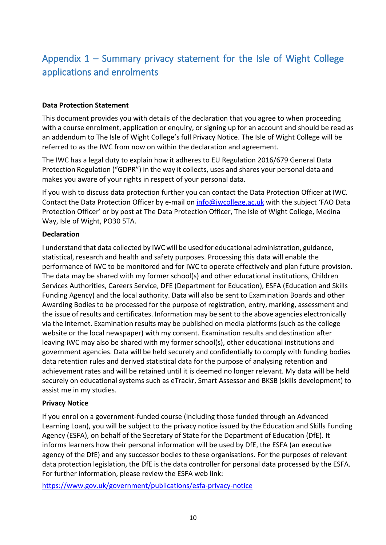# <span id="page-9-0"></span>Appendix 1 – Summary privacy statement for the Isle of Wight College applications and enrolments

#### <span id="page-9-1"></span>**Data Protection Statement**

This document provides you with details of the declaration that you agree to when proceeding with a course enrolment, application or enquiry, or signing up for an account and should be read as an addendum to The Isle of Wight College's full Privacy Notice. The Isle of Wight College will be referred to as the IWC from now on within the declaration and agreement.

The IWC has a legal duty to explain how it adheres to EU Regulation 2016/679 General Data Protection Regulation ("GDPR") in the way it collects, uses and shares your personal data and makes you aware of your rights in respect of your personal data.

If you wish to discuss data protection further you can contact the Data Protection Officer at IWC. Contact the Data Protection Officer by e-mail on [info@iwcollege.ac.uk](mailto:info@iwcollege.ac.uk) with the subject 'FAO Data Protection Officer' or by post at The Data Protection Officer, The Isle of Wight College, Medina Way, Isle of Wight, PO30 5TA.

#### <span id="page-9-2"></span>**Declaration**

I understand that data collected by IWC will be used for educational administration, guidance, statistical, research and health and safety purposes. Processing this data will enable the performance of IWC to be monitored and for IWC to operate effectively and plan future provision. The data may be shared with my former school(s) and other educational institutions, Children Services Authorities, Careers Service, DFE (Department for Education), ESFA (Education and Skills Funding Agency) and the local authority. Data will also be sent to Examination Boards and other Awarding Bodies to be processed for the purpose of registration, entry, marking, assessment and the issue of results and certificates. Information may be sent to the above agencies electronically via the Internet. Examination results may be published on media platforms (such as the college website or the local newspaper) with my consent. Examination results and destination after leaving IWC may also be shared with my former school(s), other educational institutions and government agencies. Data will be held securely and confidentially to comply with funding bodies data retention rules and derived statistical data for the purpose of analysing retention and achievement rates and will be retained until it is deemed no longer relevant. My data will be held securely on educational systems such as eTrackr, Smart Assessor and BKSB (skills development) to assist me in my studies.

#### <span id="page-9-3"></span>**Privacy Notice**

If you enrol on a government-funded course (including those funded through an Advanced Learning Loan), you will be subject to the privacy notice issued by the Education and Skills Funding Agency (ESFA), on behalf of the Secretary of State for the Department of Education (DfE). It informs learners how their personal information will be used by DfE, the ESFA (an executive agency of the DfE) and any successor bodies to these organisations. For the purposes of relevant data protection legislation, the DfE is the data controller for personal data processed by the ESFA. For further information, please review the ESFA web link:

<https://www.gov.uk/government/publications/esfa-privacy-notice>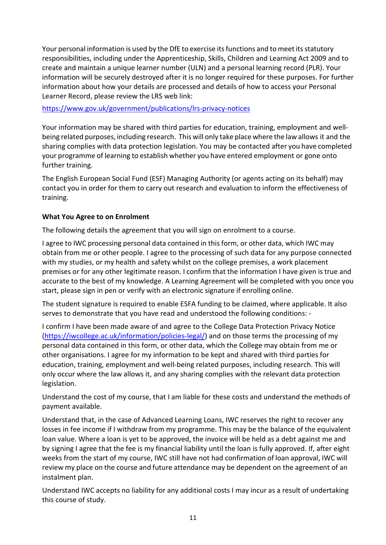Your personal information is used by the DfE to exercise its functions and to meet its statutory responsibilities, including under the Apprenticeship, Skills, Children and Learning Act 2009 and to create and maintain a unique learner number (ULN) and a personal learning record (PLR). Your information will be securely destroyed after it is no longer required for these purposes. For further information about how your details are processed and details of how to access your Personal Learner Record, please review the LRS web link:

#### <https://www.gov.uk/government/publications/lrs-privacy-notices>

Your information may be shared with third parties for education, training, employment and wellbeing related purposes, including research. This will only take place where the law allows it and the sharing complies with data protection legislation. You may be contacted after you have completed your programme of learning to establish whether you have entered employment or gone onto further training.

The English European Social Fund (ESF) Managing Authority (or agents acting on its behalf) may contact you in order for them to carry out research and evaluation to inform the effectiveness of training.

#### <span id="page-10-0"></span>**What You Agree to on Enrolment**

The following details the agreement that you will sign on enrolment to a course.

I agree to IWC processing personal data contained in this form, or other data, which IWC may obtain from me or other people. I agree to the processing of such data for any purpose connected with my studies, or my health and safety whilst on the college premises, a work placement premises or for any other legitimate reason. I confirm that the information I have given is true and accurate to the best of my knowledge. A Learning Agreement will be completed with you once you start, please sign in pen or verify with an electronic signature if enrolling online.

The student signature is required to enable ESFA funding to be claimed, where applicable. It also serves to demonstrate that you have read and understood the following conditions: -

I confirm I have been made aware of and agree to the College Data Protection Privacy Notice [\(https://iwcollege.ac.uk/information/policies-legal/\)](https://iwcollege.ac.uk/information/policies-legal/) and on those terms the processing of my personal data contained in this form, or other data, which the College may obtain from me or other organisations. I agree for my information to be kept and shared with third parties for education, training, employment and well-being related purposes, including research. This will only occur where the law allows it, and any sharing complies with the relevant data protection legislation.

Understand the cost of my course, that I am liable for these costs and understand the methods of payment available.

Understand that, in the case of Advanced Learning Loans, IWC reserves the right to recover any losses in fee income if I withdraw from my programme. This may be the balance of the equivalent loan value. Where a loan is yet to be approved, the invoice will be held as a debt against me and by signing I agree that the fee is my financial liability until the loan is fully approved. If, after eight weeks from the start of my course, IWC still have not had confirmation of loan approval, IWC will review my place on the course and future attendance may be dependent on the agreement of an instalment plan.

Understand IWC accepts no liability for any additional costs I may incur as a result of undertaking this course of study.